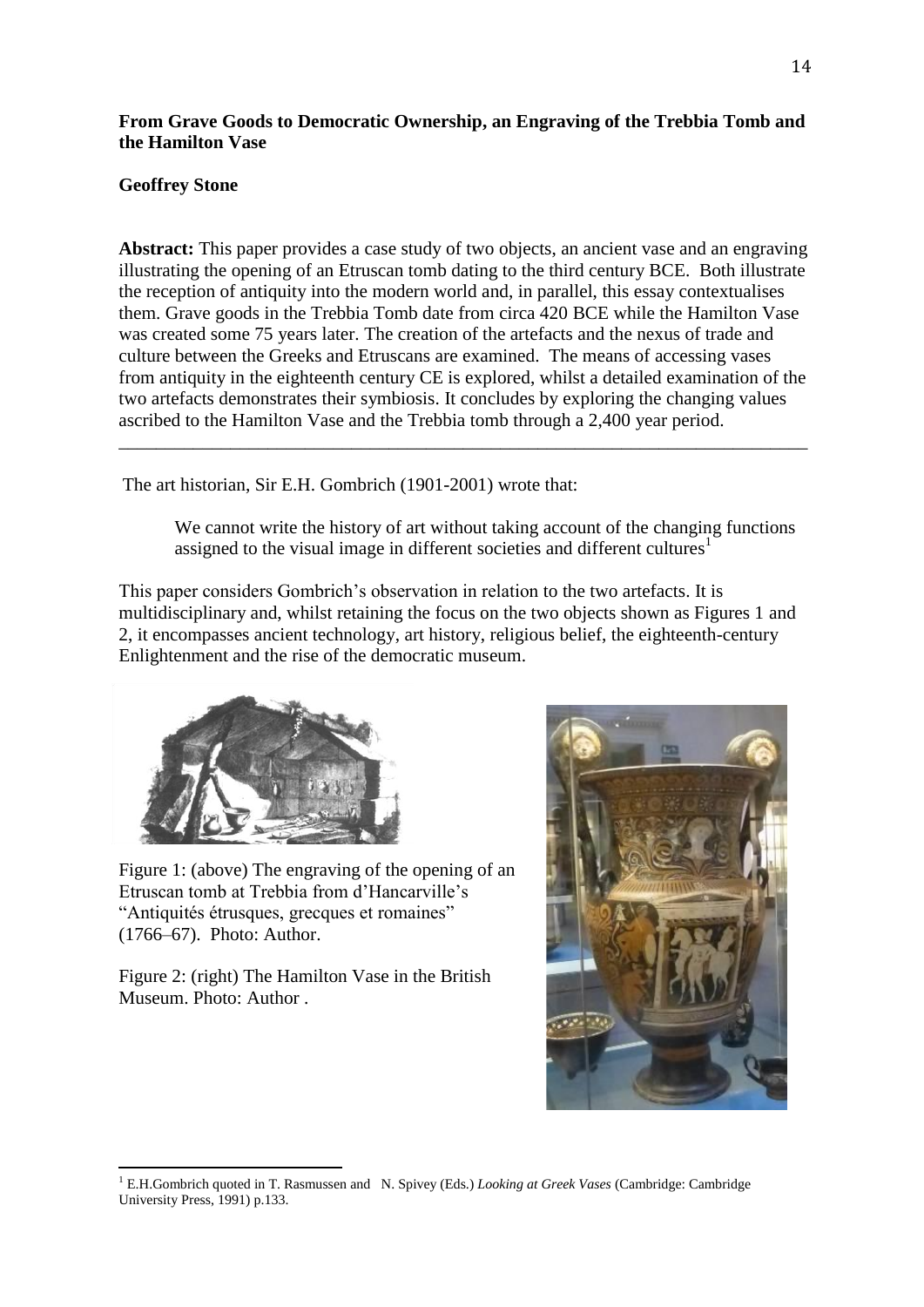# **From Grave Goods to Democratic Ownership, an Engraving of the Trebbia Tomb and the Hamilton Vase**

## **Geoffrey Stone**

**Abstract:** This paper provides a case study of two objects, an ancient vase and an engraving illustrating the opening of an Etruscan tomb dating to the third century BCE. Both illustrate the reception of antiquity into the modern world and, in parallel, this essay contextualises them. Grave goods in the Trebbia Tomb date from circa 420 BCE while the Hamilton Vase was created some 75 years later. The creation of the artefacts and the nexus of trade and culture between the Greeks and Etruscans are examined. The means of accessing vases from antiquity in the eighteenth century CE is explored, whilst a detailed examination of the two artefacts demonstrates their symbiosis. It concludes by exploring the changing values ascribed to the Hamilton Vase and the Trebbia tomb through a 2,400 year period.

\_\_\_\_\_\_\_\_\_\_\_\_\_\_\_\_\_\_\_\_\_\_\_\_\_\_\_\_\_\_\_\_\_\_\_\_\_\_\_\_\_\_\_\_\_\_\_\_\_\_\_\_\_\_\_\_\_\_\_\_\_\_\_\_\_\_\_\_\_\_\_\_\_\_

The art historian, Sir E.H. Gombrich (1901-2001) wrote that:

We cannot write the history of art without taking account of the changing functions assigned to the visual image in different societies and different cultures<sup>1</sup>

This paper considers Gombrich's observation in relation to the two artefacts. It is multidisciplinary and, whilst retaining the focus on the two objects shown as Figures 1 and 2, it encompasses ancient technology, art history, religious belief, the eighteenth-century Enlightenment and the rise of the democratic museum.



Figure 1: (above) The engraving of the opening of an Etruscan tomb at Trebbia from d'Hancarville's "Antiquités étrusques, grecques et romaines" (1766–67). Photo: Author.

Figure 2: (right) The Hamilton Vase in the British Museum. Photo: Author .



 $\overline{a}$ <sup>1</sup> E.H.Gombrich quoted in T. Rasmussen and N. Spivey (Eds.) *Looking at Greek Vases* (Cambridge: Cambridge University Press, 1991) p.133.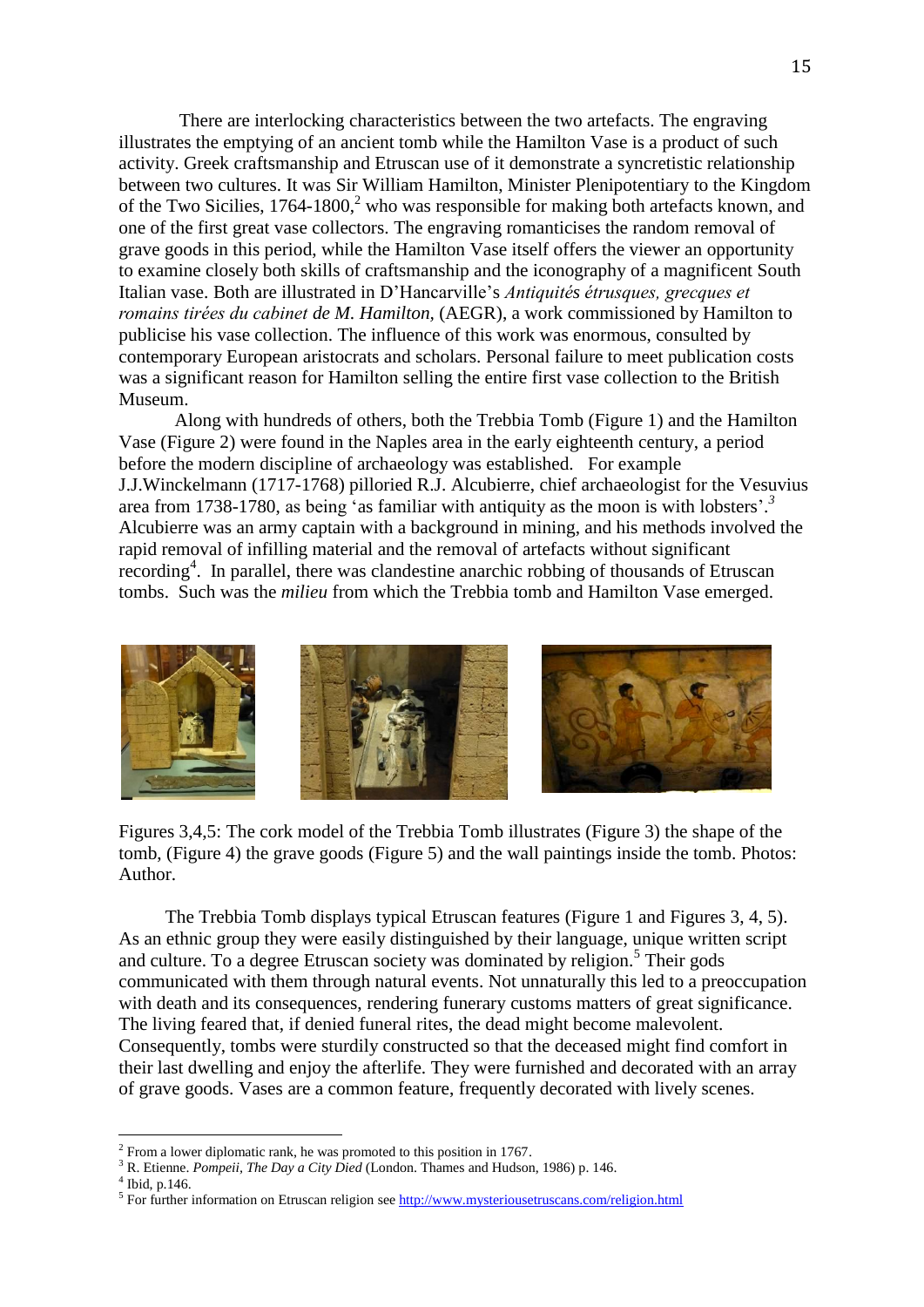There are interlocking characteristics between the two artefacts. The engraving illustrates the emptying of an ancient tomb while the Hamilton Vase is a product of such activity. Greek craftsmanship and Etruscan use of it demonstrate a syncretistic relationship between two cultures. It was Sir William Hamilton, Minister Plenipotentiary to the Kingdom of the Two Sicilies, 1764-1800,<sup>2</sup> who was responsible for making both artefacts known, and one of the first great vase collectors. The engraving romanticises the random removal of grave goods in this period, while the Hamilton Vase itself offers the viewer an opportunity to examine closely both skills of craftsmanship and the iconography of a magnificent South Italian vase. Both are illustrated in D'Hancarville's *s romains tirées du cabinet de M. Hamilton,* (AEGR), a work commissioned by Hamilton to publicise his vase collection. The influence of this work was enormous, consulted by contemporary European aristocrats and scholars. Personal failure to meet publication costs was a significant reason for Hamilton selling the entire first vase collection to the British Museum.

Along with hundreds of others, both the Trebbia Tomb (Figure 1) and the Hamilton Vase (Figure 2) were found in the Naples area in the early eighteenth century, a period before the modern discipline of archaeology was established. For example J.J.Winckelmann (1717-1768) pilloried R.J. Alcubierre, chief archaeologist for the Vesuvius area from 1738-1780, as being 'as familiar with antiquity as the moon is with lobsters'.<sup>3</sup> Alcubierre was an army captain with a background in mining, and his methods involved the rapid removal of infilling material and the removal of artefacts without significant recording<sup>4</sup>. In parallel, there was clandestine anarchic robbing of thousands of Etruscan tombs. Such was the *milieu* from which the Trebbia tomb and Hamilton Vase emerged.



Figures 3,4,5: The cork model of the Trebbia Tomb illustrates (Figure 3) the shape of the tomb, (Figure 4) the grave goods (Figure 5) and the wall paintings inside the tomb. Photos: Author.

 The Trebbia Tomb displays typical Etruscan features (Figure 1 and Figures 3, 4, 5). As an ethnic group they were easily distinguished by their language, unique written script and culture. To a degree Etruscan society was dominated by religion.<sup>5</sup> Their gods communicated with them through natural events. Not unnaturally this led to a preoccupation with death and its consequences, rendering funerary customs matters of great significance. The living feared that, if denied funeral rites, the dead might become malevolent. Consequently, tombs were sturdily constructed so that the deceased might find comfort in their last dwelling and enjoy the afterlife. They were furnished and decorated with an array of grave goods. Vases are a common feature, frequently decorated with lively scenes.

<sup>3</sup> R. Etienne. *Pompeii, The Day a City Died* (London. Thames and Hudson, 1986) p. 146.

<sup>2</sup> From a lower diplomatic rank, he was promoted to this position in 1767.

 $<sup>4</sup>$  Ibid, p.146.</sup>

<sup>&</sup>lt;sup>5</sup> For further information on Etruscan religion see<http://www.mysteriousetruscans.com/religion.html>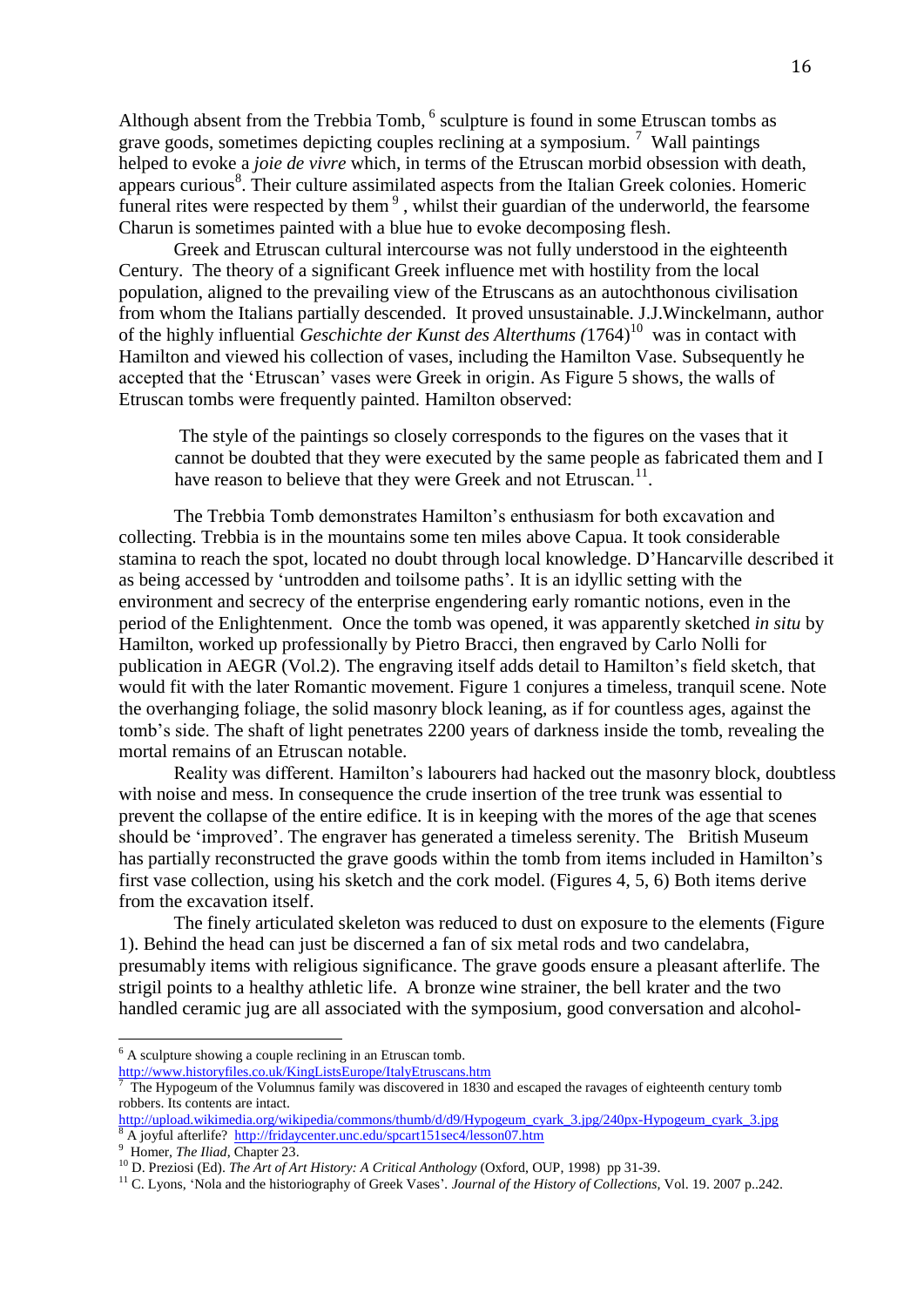Although absent from the Trebbia Tomb,  $<sup>6</sup>$  sculpture is found in some Etruscan tombs as</sup> grave goods, sometimes depicting couples reclining at a symposium.  $\frac{7}{1}$  Wall paintings helped to evoke a *joie de vivre* which, in terms of the Etruscan morbid obsession with death, appears curious<sup>8</sup>. Their culture assimilated aspects from the Italian Greek colonies. Homeric funeral rites were respected by them<sup>9</sup>, whilst their guardian of the underworld, the fearsome Charun is sometimes painted with a blue hue to evoke decomposing flesh.

Greek and Etruscan cultural intercourse was not fully understood in the eighteenth Century. The theory of a significant Greek influence met with hostility from the local population, aligned to the prevailing view of the Etruscans as an autochthonous civilisation from whom the Italians partially descended. It proved unsustainable. J.J.Winckelmann, author of the highly influential *Geschichte der Kunst des Alterthums* (1764)<sup>10</sup> was in contact with Hamilton and viewed his collection of vases, including the Hamilton Vase. Subsequently he accepted that the 'Etruscan' vases were Greek in origin. As Figure 5 shows, the walls of Etruscan tombs were frequently painted. Hamilton observed:

The style of the paintings so closely corresponds to the figures on the vases that it cannot be doubted that they were executed by the same people as fabricated them and I have reason to believe that they were Greek and not Etruscan.<sup>11</sup>.

The Trebbia Tomb demonstrates Hamilton's enthusiasm for both excavation and collecting. Trebbia is in the mountains some ten miles above Capua. It took considerable stamina to reach the spot, located no doubt through local knowledge. D'Hancarville described it as being accessed by 'untrodden and toilsome paths'*.* It is an idyllic setting with the environment and secrecy of the enterprise engendering early romantic notions, even in the period of the Enlightenment. Once the tomb was opened, it was apparently sketched *in situ* by Hamilton, worked up professionally by Pietro Bracci, then engraved by Carlo Nolli for publication in AEGR (Vol.2). The engraving itself adds detail to Hamilton's field sketch, that would fit with the later Romantic movement. Figure 1 conjures a timeless, tranquil scene. Note the overhanging foliage, the solid masonry block leaning, as if for countless ages, against the tomb's side. The shaft of light penetrates 2200 years of darkness inside the tomb, revealing the mortal remains of an Etruscan notable.

Reality was different. Hamilton's labourers had hacked out the masonry block, doubtless with noise and mess. In consequence the crude insertion of the tree trunk was essential to prevent the collapse of the entire edifice. It is in keeping with the mores of the age that scenes should be 'improved'. The engraver has generated a timeless serenity. The British Museum has partially reconstructed the grave goods within the tomb from items included in Hamilton's first vase collection, using his sketch and the cork model. (Figures 4, 5, 6) Both items derive from the excavation itself.

The finely articulated skeleton was reduced to dust on exposure to the elements (Figure 1). Behind the head can just be discerned a fan of six metal rods and two candelabra, presumably items with religious significance. The grave goods ensure a pleasant afterlife. The strigil points to a healthy athletic life. A bronze wine strainer, the bell krater and the two handled ceramic jug are all associated with the symposium, good conversation and alcohol-

 $\overline{a}$ 

 $<sup>6</sup>$  A sculpture showing a couple reclining in an Etruscan tomb.</sup> <http://www.historyfiles.co.uk/KingListsEurope/ItalyEtruscans.htm><br><sup>7</sup> The Hypogaum of the Volumpus family was discovered in 1820

The Hypogeum of the Volumnus family was discovered in 1830 and escaped the ravages of eighteenth century tomb robbers. Its contents are intact.

[http://upload.wikimedia.org/wikipedia/commons/thumb/d/d9/Hypogeum\\_cyark\\_3.jpg/240px-Hypogeum\\_cyark\\_3.jpg](http://upload.wikimedia.org/wikipedia/commons/thumb/d/d9/Hypogeum_cyark_3.jpg/240px-Hypogeum_cyark_3.jpg) <sup>8</sup> A joyful afterlife? <http://fridaycenter.unc.edu/spcart151sec4/lesson07.htm>

<sup>9</sup> Homer*, The Iliad*, Chapter 23.

<sup>10</sup> D. Preziosi (Ed). *The Art of Art History: A Critical Anthology* (Oxford, OUP, 1998) pp 31-39.

<sup>11</sup> C. Lyons, 'Nola and the historiography of Greek Vases'*. Journal of the History of Collections,* Vol. 19. 2007 p..242.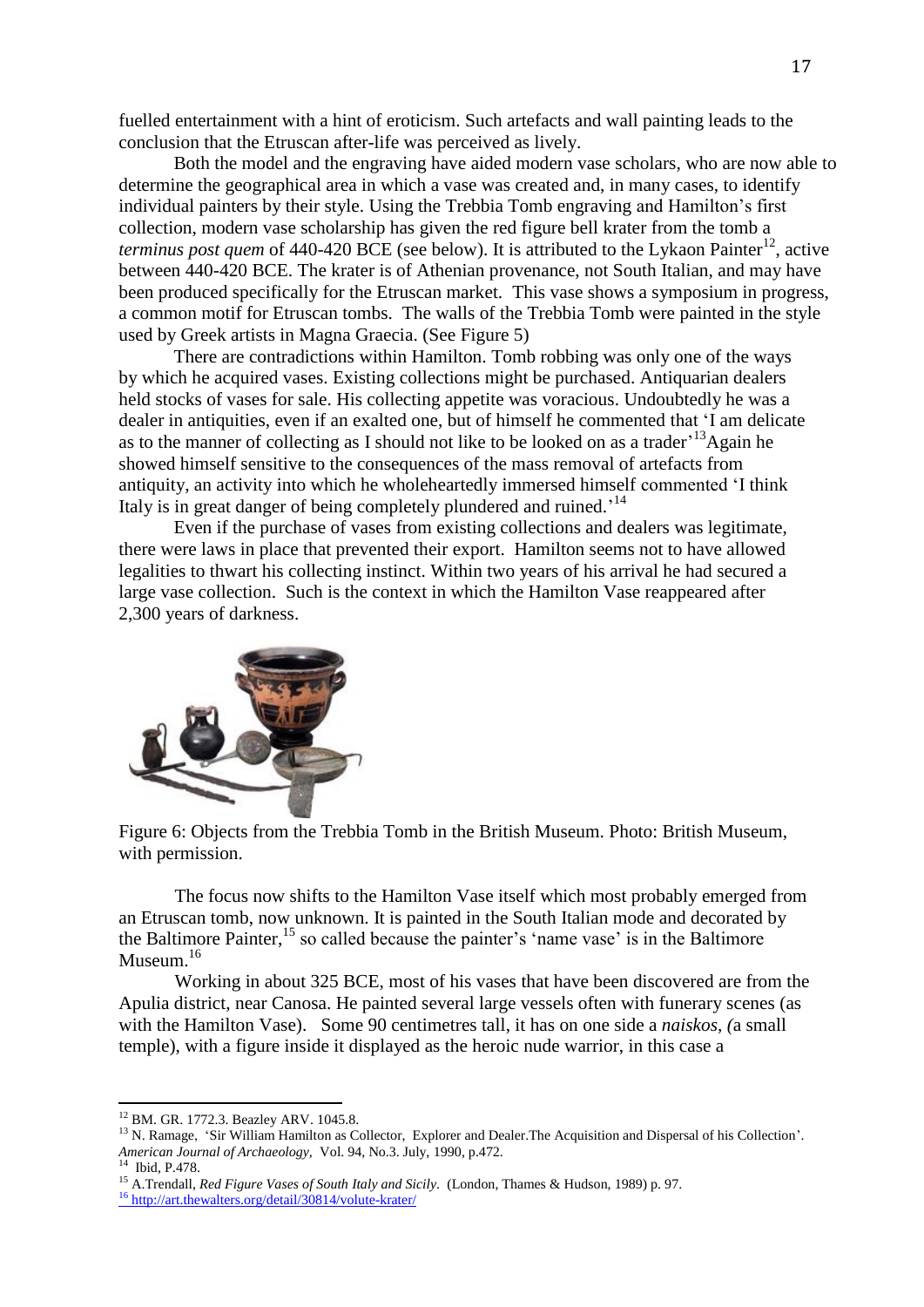fuelled entertainment with a hint of eroticism. Such artefacts and wall painting leads to the conclusion that the Etruscan after-life was perceived as lively.

Both the model and the engraving have aided modern vase scholars, who are now able to determine the geographical area in which a vase was created and, in many cases, to identify individual painters by their style. Using the Trebbia Tomb engraving and Hamilton's first collection, modern vase scholarship has given the red figure bell krater from the tomb a *terminus post quem* of 440-420 BCE (see below). It is attributed to the Lykaon Painter<sup>12</sup>, active between 440-420 BCE. The krater is of Athenian provenance, not South Italian, and may have been produced specifically for the Etruscan market. This vase shows a symposium in progress, a common motif for Etruscan tombs. The walls of the Trebbia Tomb were painted in the style used by Greek artists in Magna Graecia. (See Figure 5)

There are contradictions within Hamilton. Tomb robbing was only one of the ways by which he acquired vases. Existing collections might be purchased. Antiquarian dealers held stocks of vases for sale. His collecting appetite was voracious. Undoubtedly he was a dealer in antiquities, even if an exalted one, but of himself he commented that 'I am delicate as to the manner of collecting as I should not like to be looked on as a trader<sup> $13$ </sup>Again he showed himself sensitive to the consequences of the mass removal of artefacts from antiquity, an activity into which he wholeheartedly immersed himself commented 'I think Italy is in great danger of being completely plundered and ruined.<sup>'14</sup>

Even if the purchase of vases from existing collections and dealers was legitimate, there were laws in place that prevented their export. Hamilton seems not to have allowed legalities to thwart his collecting instinct. Within two years of his arrival he had secured a large vase collection. Such is the context in which the Hamilton Vase reappeared after 2,300 years of darkness.



Figure 6: Objects from the Trebbia Tomb in the British Museum. Photo: British Museum, with permission.

The focus now shifts to the Hamilton Vase itself which most probably emerged from an Etruscan tomb, now unknown. It is painted in the South Italian mode and decorated by the Baltimore Painter,<sup>15</sup> so called because the painter's 'name vase' is in the Baltimore Museum.<sup>16</sup>

Working in about 325 BCE, most of his vases that have been discovered are from the Apulia district, near Canosa. He painted several large vessels often with funerary scenes (as with the Hamilton Vase). Some 90 centimetres tall, it has on one side a *naiskos, (*a small temple), with a figure inside it displayed as the heroic nude warrior, in this case a

<sup>12</sup> BM. GR. 1772.3. Beazley ARV. 1045.8.

<sup>&</sup>lt;sup>13</sup> N. Ramage, 'Sir William Hamilton as Collector, Explorer and Dealer. The Acquisition and Dispersal of his Collection'. *American Journal of Archaeology,* Vol. 94, No.3. July, 1990, p.472.

 $<sup>1</sup>$  Ibid, P.478.</sup>

<sup>15</sup> A.Trendall, *Red Figure Vases of South Italy and Sicily*. (London, Thames & Hudson, 1989) p. 97. <sup>16</sup> <http://art.thewalters.org/detail/30814/volute-krater/>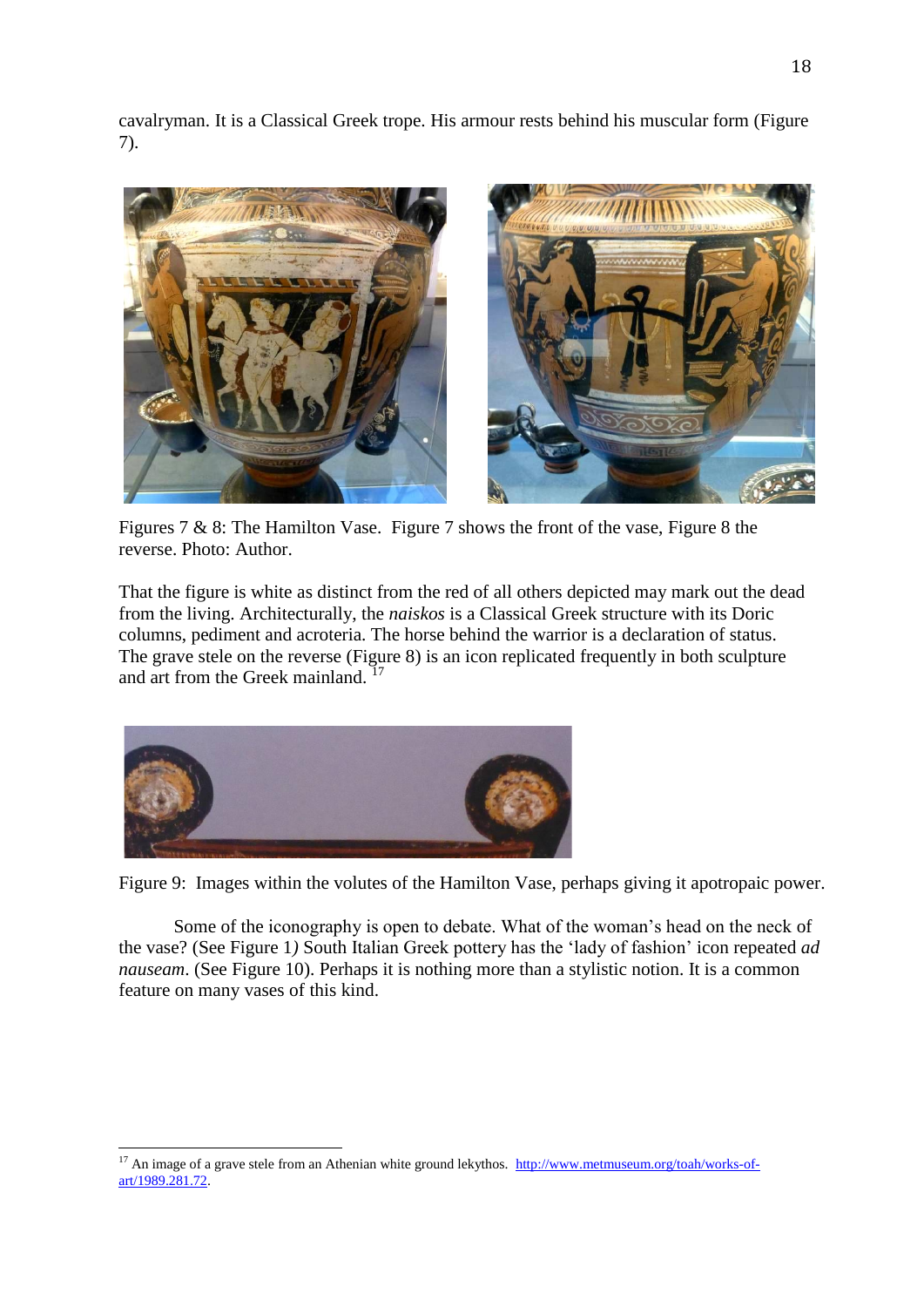cavalryman. It is a Classical Greek trope. His armour rests behind his muscular form (Figure 7).



Figures 7 & 8: The Hamilton Vase. Figure 7 shows the front of the vase, Figure 8 the reverse. Photo: Author.

That the figure is white as distinct from the red of all others depicted may mark out the dead from the living. Architecturally, the *naiskos* is a Classical Greek structure with its Doric columns, pediment and acroteria. The horse behind the warrior is a declaration of status. The grave stele on the reverse (Figure 8) is an icon replicated frequently in both sculpture and art from the Greek mainland.<sup>17</sup>



 $\overline{a}$ 

Figure 9: Images within the volutes of the Hamilton Vase, perhaps giving it apotropaic power.

Some of the iconography is open to debate. What of the woman's head on the neck of the vase? (See Figure 1*)* South Italian Greek pottery has the 'lady of fashion' icon repeated *ad nauseam*. (See Figure 10). Perhaps it is nothing more than a stylistic notion. It is a common feature on many vases of this kind.

<sup>&</sup>lt;sup>17</sup> An image of a grave stele from an Athenian white ground lekythos. [http://www.metmuseum.org/toah/works-of](http://www.metmuseum.org/toah/works-of-art/1989.281.72)[art/1989.281.72.](http://www.metmuseum.org/toah/works-of-art/1989.281.72)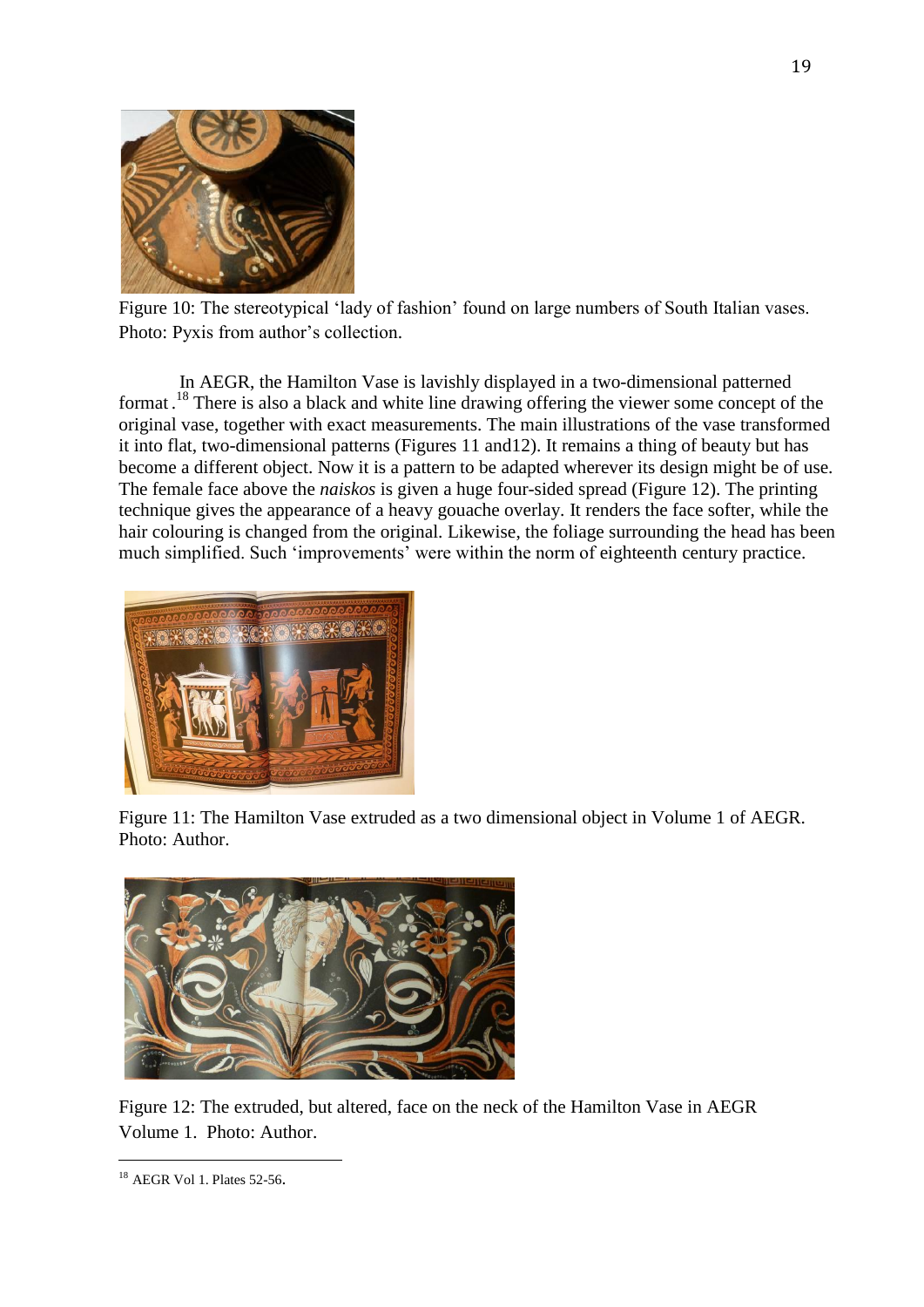

Figure 10: The stereotypical 'lady of fashion' found on large numbers of South Italian vases. Photo: Pyxis from author's collection.

In AEGR, the Hamilton Vase is lavishly displayed in a two-dimensional patterned format.<sup>18</sup> There is also a black and white line drawing offering the viewer some concept of the original vase, together with exact measurements. The main illustrations of the vase transformed it into flat, two-dimensional patterns (Figures 11 and12). It remains a thing of beauty but has become a different object. Now it is a pattern to be adapted wherever its design might be of use. The female face above the *naiskos* is given a huge four-sided spread (Figure 12). The printing technique gives the appearance of a heavy gouache overlay. It renders the face softer, while the hair colouring is changed from the original. Likewise, the foliage surrounding the head has been much simplified. Such 'improvements' were within the norm of eighteenth century practice.



Figure 11: The Hamilton Vase extruded as a two dimensional object in Volume 1 of AEGR. Photo: Author.



Figure 12: The extruded, but altered, face on the neck of the Hamilton Vase in AEGR Volume 1. Photo: Author.

<sup>18</sup> AEGR Vol 1. Plates 52-56.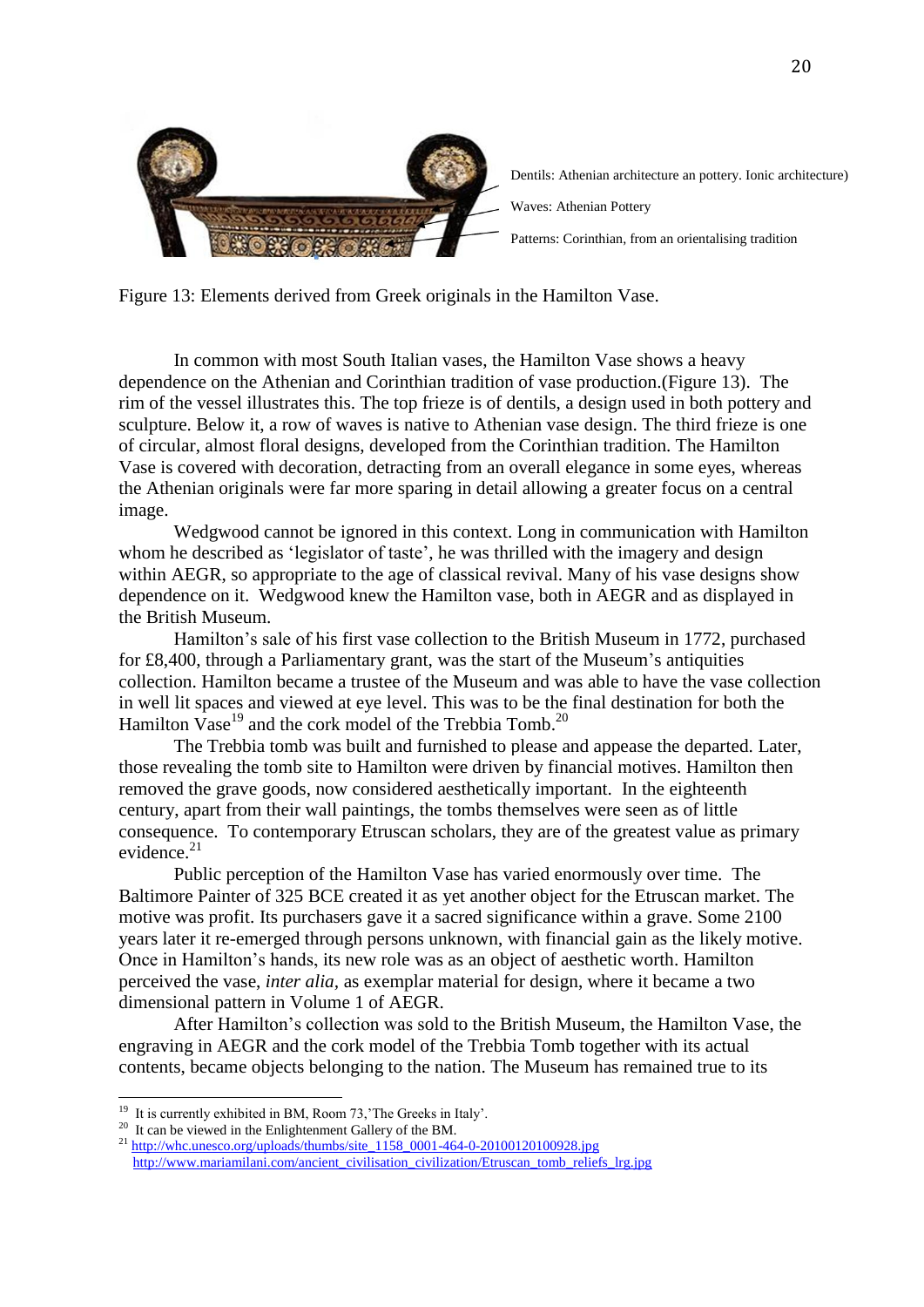

Dentils: Athenian architecture an pottery. Ionic architecture) Waves: Athenian Pottery

Patterns: Corinthian, from an orientalising tradition

Figure 13: Elements derived from Greek originals in the Hamilton Vase.

In common with most South Italian vases, the Hamilton Vase shows a heavy dependence on the Athenian and Corinthian tradition of vase production.(Figure 13). The rim of the vessel illustrates this. The top frieze is of dentils, a design used in both pottery and sculpture. Below it, a row of waves is native to Athenian vase design. The third frieze is one of circular, almost floral designs, developed from the Corinthian tradition. The Hamilton Vase is covered with decoration, detracting from an overall elegance in some eyes, whereas the Athenian originals were far more sparing in detail allowing a greater focus on a central image.

Wedgwood cannot be ignored in this context. Long in communication with Hamilton whom he described as 'legislator of taste', he was thrilled with the imagery and design within AEGR, so appropriate to the age of classical revival. Many of his vase designs show dependence on it. Wedgwood knew the Hamilton vase, both in AEGR and as displayed in the British Museum.

Hamilton's sale of his first vase collection to the British Museum in 1772, purchased for £8,400, through a Parliamentary grant, was the start of the Museum's antiquities collection. Hamilton became a trustee of the Museum and was able to have the vase collection in well lit spaces and viewed at eye level. This was to be the final destination for both the Hamilton Vase<sup>19</sup> and the cork model of the Trebbia Tomb.<sup>20</sup>

The Trebbia tomb was built and furnished to please and appease the departed. Later, those revealing the tomb site to Hamilton were driven by financial motives. Hamilton then removed the grave goods, now considered aesthetically important. In the eighteenth century, apart from their wall paintings, the tombs themselves were seen as of little consequence. To contemporary Etruscan scholars, they are of the greatest value as primary evidence. $21$ 

Public perception of the Hamilton Vase has varied enormously over time. The Baltimore Painter of 325 BCE created it as yet another object for the Etruscan market. The motive was profit. Its purchasers gave it a sacred significance within a grave. Some 2100 years later it re-emerged through persons unknown, with financial gain as the likely motive. Once in Hamilton's hands, its new role was as an object of aesthetic worth. Hamilton perceived the vase, *inter alia,* as exemplar material for design, where it became a two dimensional pattern in Volume 1 of AEGR.

After Hamilton's collection was sold to the British Museum, the Hamilton Vase, the engraving in AEGR and the cork model of the Trebbia Tomb together with its actual contents, became objects belonging to the nation. The Museum has remained true to its

<sup>&</sup>lt;sup>19</sup> It is currently exhibited in BM, Room 73, 'The Greeks in Italy'.

 $^{20}$  It can be viewed in the Enlightenment Gallery of the BM.

<sup>21</sup> [http://whc.unesco.org/uploads/thumbs/site\\_1158\\_0001-464-0-20100120100928.jpg](http://whc.unesco.org/uploads/thumbs/site_1158_0001-464-0-20100120100928.jpg) [http://www.mariamilani.com/ancient\\_civilisation\\_civilization/Etruscan\\_tomb\\_reliefs\\_lrg.jpg](http://www.mariamilani.com/ancient_civilisation_civilization/Etruscan_tomb_reliefs_lrg.jpg)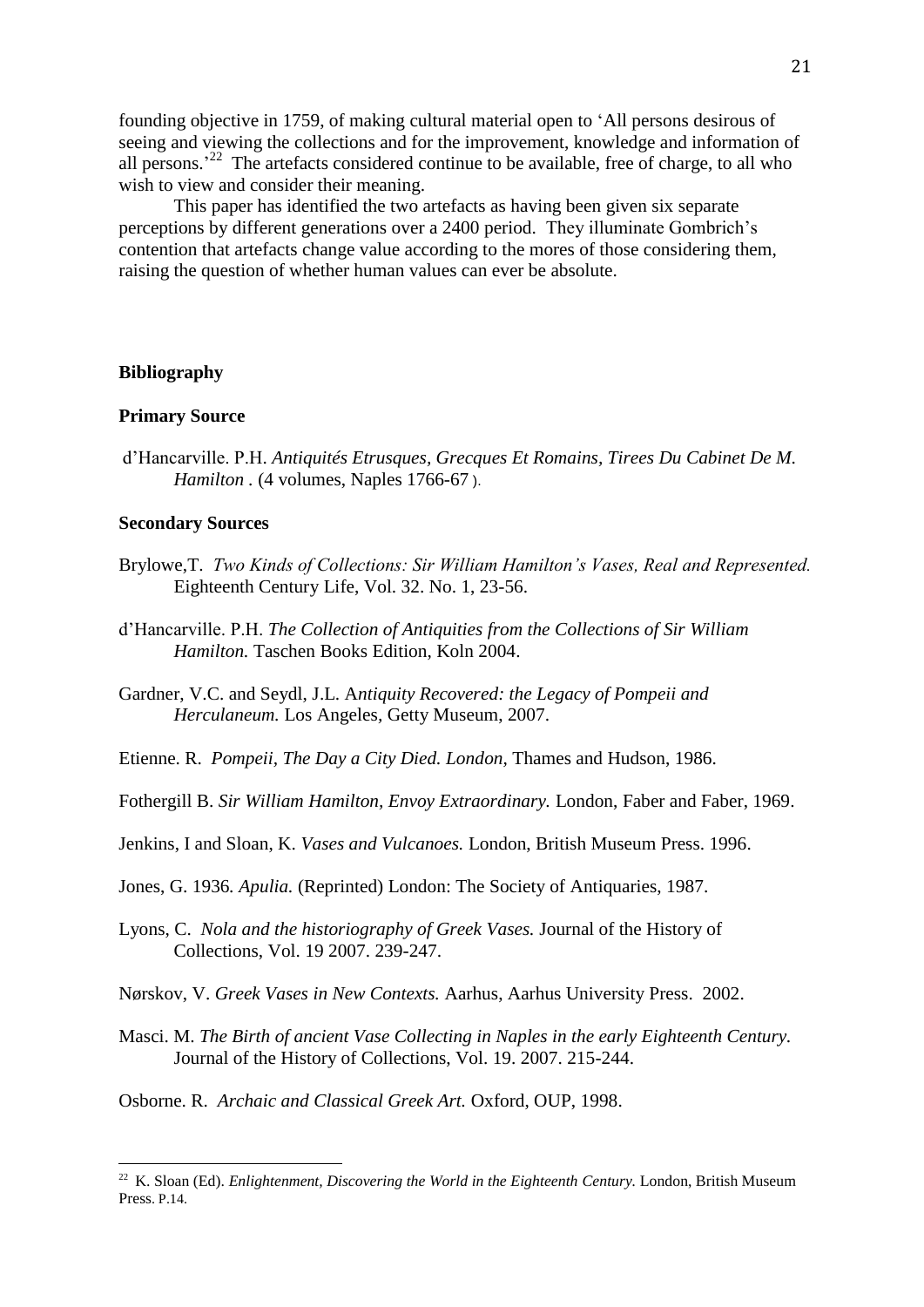founding objective in 1759, of making cultural material open to 'All persons desirous of seeing and viewing the collections and for the improvement, knowledge and information of all persons.<sup>22</sup> The artefacts considered continue to be available, free of charge, to all who wish to view and consider their meaning.

This paper has identified the two artefacts as having been given six separate perceptions by different generations over a 2400 period. They illuminate Gombrich's contention that artefacts change value according to the mores of those considering them, raising the question of whether human values can ever be absolute.

### **Bibliography**

### **Primary Source**

d'Hancarville. P.H. *Antiquités Etrusques, Grecques Et Romains, Tirees Du Cabinet De M. Hamilton .* (4 volumes, Naples 1766-67 ).

#### **Secondary Sources**

- Brylowe, T. *Two Kinds of Collections: Sir William Hamilton's Vases, Real and Represented.* Eighteenth Century Life, Vol. 32. No. 1, 23-56.
- d'Hancarville. P.H. *The Collection of Antiquities from the Collections of Sir William Hamilton.* Taschen Books Edition, Koln 2004.
- Gardner, V.C. and Seydl, J.L. A*ntiquity Recovered: the Legacy of Pompeii and Herculaneum.* Los Angeles*,* Getty Museum, 2007.
- Etienne. R. *Pompeii, The Day a City Died. London,* Thames and Hudson, 1986.
- Fothergill B. *Sir William Hamilton, Envoy Extraordinary.* London, Faber and Faber, 1969.
- Jenkins, I and Sloan, K. *Vases and Vulcanoes.* London, British Museum Press. 1996.
- Jones, G. 1936*. Apulia.* (Reprinted) London: The Society of Antiquaries, 1987.
- Lyons, C. *Nola and the historiography of Greek Vases.* Journal of the History of Collections, Vol. 19 2007. 239-247.
- Nørskov, V. *Greek Vases in New Contexts.* Aarhus, Aarhus University Press. 2002.
- Masci. M. *The Birth of ancient Vase Collecting in Naples in the early Eighteenth Century.* Journal of the History of Collections, Vol. 19. 2007. 215-244.
- Osborne. R. *Archaic and Classical Greek Art.* Oxford, OUP, 1998.

<sup>&</sup>lt;sup>22</sup> K. Sloan (Ed). *Enlightenment, Discovering the World in the Eighteenth Century*. London, British Museum Press. P.14.